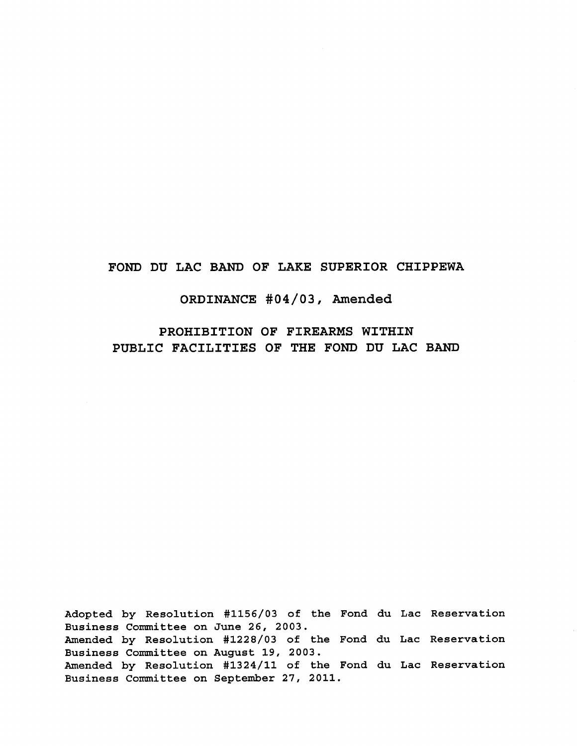# **FOND DU LAC BAND OF LAKE SUPERIOR CHIPPEWA**

# **ORDINANCE #04/03, Amended**

**PROHIBITION OF FIREARMS WITHIN PUBLIC FACILITIES OF THE FOND DU LAC BAND**

Adopted by Resolution #1156/03 of the Fond du Lac Reservation Business Committee on June 26, 2003. Amended by Resolution #1228/03 of the Fond du Lac Reservation Business Committee on August 19, 2003. Amended by Resolution #1324/11 of the Fond du Lac ReservationBusiness Committee on September 27, 2011.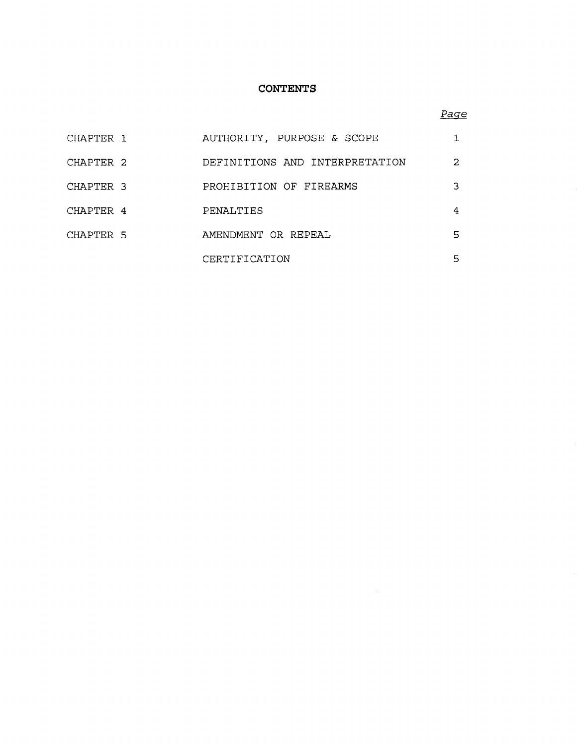## **CONTENTS**

## *Page*

| CHAPTER 1 | AUTHORITY, PURPOSE & SCOPE     |    |
|-----------|--------------------------------|----|
| CHAPTER 2 | DEFINITIONS AND INTERPRETATION | 2  |
| CHAPTER 3 | PROHIBITION OF FIREARMS        | 3  |
| CHAPTER 4 | PENALTIES                      | 4  |
| CHAPTER 5 | AMENDMENT OR REPEAL            | 5. |
|           | CERTIFICATION                  | 5. |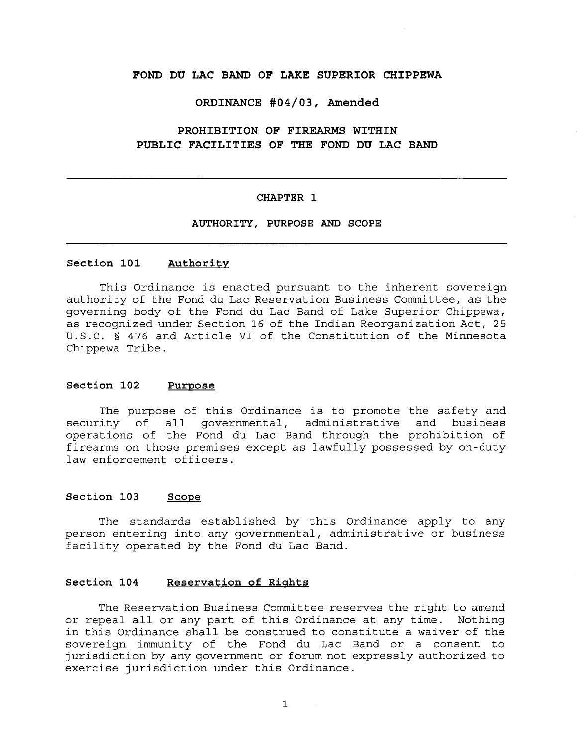## **FOND DU LAC BAND OF LAKE SUPERIOR CHIPPEWA**

#### **ORDINANCE #04/03, Amended**

# **PROHIBITION OF FIREARMS WITHIN PUBLIC FACILITIES OF THE FOND DU LAC BAND**

#### **CHAPTER 1**

## **AUTHORITY, PURPOSE AND SCOPE**

## **Section 101 Authority**

This Ordinance is enacted pursuant to the inherent sovereign authority of the Fond du Lac Reservation Business Committee, as the governing body of the Fond du Lac Band of Lake Superior Chippewa, as recognized under Section 16 of the Indian Reorganization Act, 25 U.S.C. § 476 and Article VI of the Constitution of the Minnesota Chippewa Tribe.

#### **Section 102 Purpose**

The purpose of this Ordinance is to promote the safety and security of all governmental, administrative and business operations of the Fond du Lac Band through the prohibition of firearms on those premises except as lawfully possessed by on-duty law enforcement officers.

### **Section 103 Scope**

The standards established by this Ordinance apply to any person entering into any governmental, administrative or business facility operated by the Fond du Lac Band.

#### **Section 104 Reservation of Rights**

The Reservation Business Committee reserves the right to amend or repeal all or any part of this Ordinance at any time. Nothing in this Ordinance shall be construed to constitute a waiver of the sovereign immunity of the Fond du Lac Band or a consent to jurisdiction by any government or forum not expressly authorized to exercise jurisdiction under this Ordinance.

 $\mathcal{L}_{\mathrm{in}}$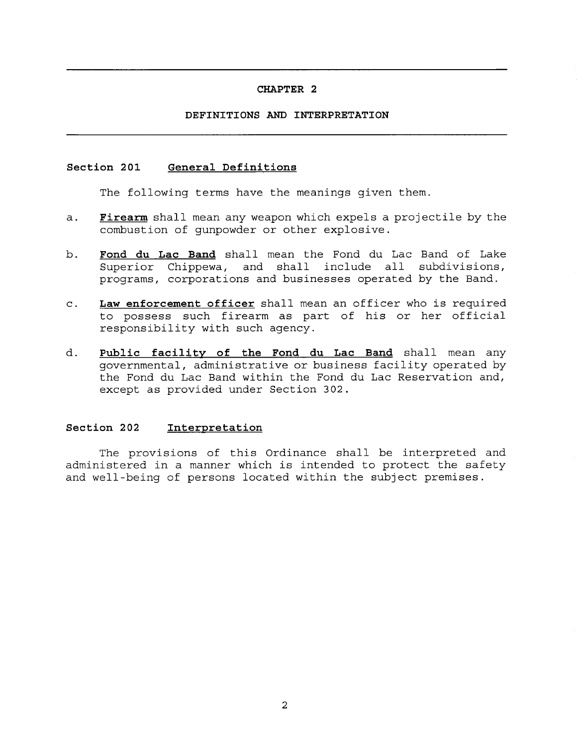## **DEFINITIONS AND INTERPRETATION**

### **Section 201 General Definitions**

The following terms have the meanings given them.

- **a. Firearm** shall mean any weapon which expels a projectile by the combustion of gunpowder or other explosive.
- **b. Fond du Lac Band** shall mean the Fond du Lac Band of Lake Superior Chippewa, and shall include all subdivisions, programs, corporations and businesses operated by the Band.
- **c. Law enforcement officer** shall mean an officer who is required to possess such firearm as part of his or her official responsibility with such agency.
- d. Public **facility of the Fond du Lac Band** shall mean any governmental, administrative or business facility operated by the Fond du Lac Band within the Fond du Lac Reservation and, except as provided under Section 302.

### **Section 202 Interpretation**

The provisions of this Ordinance shall be interpreted and administered in a manner which is intended to protect the safety and well-being of persons located within the subject premises.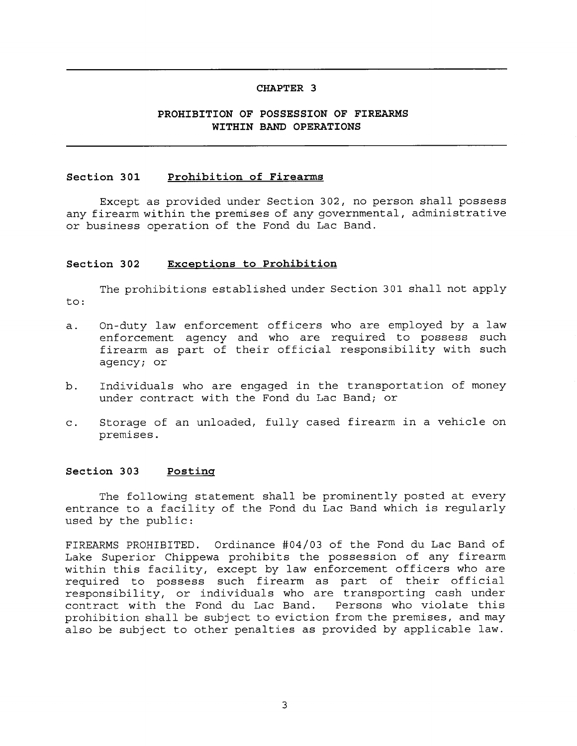# **PROHIBITION OF POSSESSION OF FIREARMS WITHIN BAND OPERATIONS**

## **Section 301 Prohibition of Firearms**

Except as provided under Section 302, no person shall possess any firearm within the premises of any governmental, administrative or business operation of the Fond du Lac Band.

## **Section 302 Exceptions to Prohibition**

The prohibitions established under Section 301 shall not apply to:

- a. On-duty law enforcement officers who are employed by a law enforcement agency and who are required to possess such firearm as part of their official responsibility with such agency; or
- b. Individuals who are engaged in the transportation of money under contract with the Fond du Lac Band; or
- c. Storage of an unloaded, fully cased firearm in a vehicle on premises.

#### **Section 303 Posting**

The following statement shall be prominently posted at every entrance to a facility of the Fond du Lac Band which is regularly used by the public:

FIREARMS PROHIBITED. Ordinance #04/03 of the Fond du Lac Band of Lake Superior Chippewa prohibits the possession of any firearm within this facility, except by law enforcement officers who are required to possess such firearm as part of their official responsibility, or individuals who are transporting cash under contract with the Fond du Lac Band. Persons who violate this prohibition shall be subject to eviction from the premises, and may also be subject to other penalties as provided by applicable law.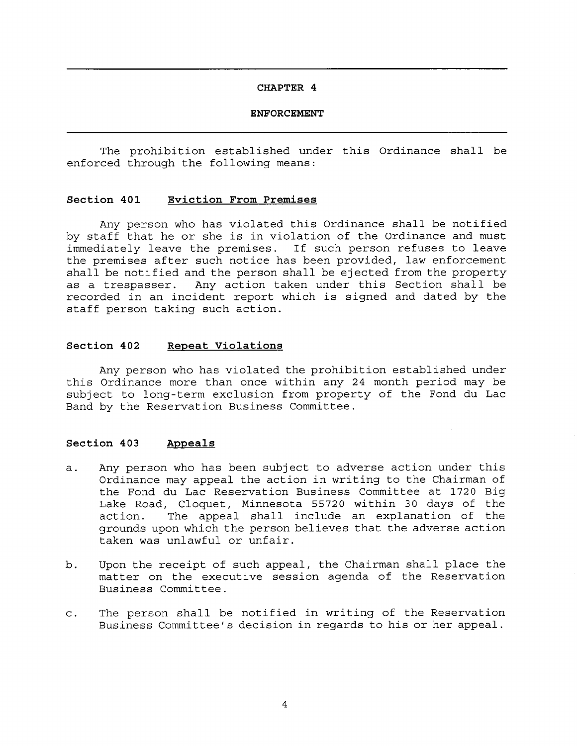#### **ENFORCEMENT**

The prohibition established under this Ordinance shall be enforced through the following means:

### **Section 401 Eviction From Premises**

Any person who has violated this Ordinance shall be notified by staff that he or she is in violation of the Ordinance and must immediately leave the premises. If such person refuses to leave the premises after such notice has been provided, law enforcement shall be notified and the person shall be ejected from the property as a trespasser. Any action taken under this Section shall be recorded in an incident report which is signed and dated by the staff person taking such action.

## **Section 402 Repeat Violations**

Any person who has violated the prohibition established under this Ordinance more than once within any 24 month period may be subject to long-term exclusion from property of the Fond du Lac Band by the Reservation Business Committee.

## **Section 403 Appeals**

- a. Any person who has been subject to adverse action under this Ordinance may appeal the action in writing to the Chairman of the Fond du Lac Reservation Business Committee at 1720 Big Lake Road, Cloquet, Minnesota 55720 within 30 days of the action. The appeal shall include an explanation of the grounds upon which the person believes that the adverse action taken was unlawful or unfair.
- b. Upon the receipt of such appeal, the Chairman shall place the matter on the executive session agenda of the Reservation Business Committee.
- c. The person shall be notified in writing of the Reservation Business Committee's decision in regards to his or her appeal.